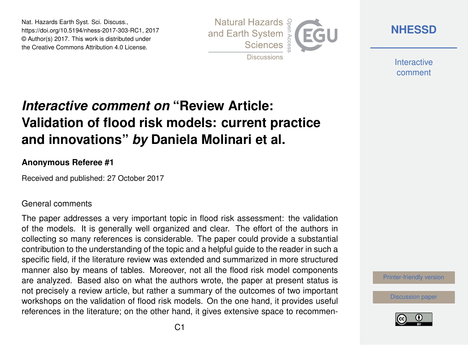Nat. Hazards Earth Syst. Sci. Discuss., https://doi.org/10.5194/nhess-2017-303-RC1, 2017 © Author(s) 2017. This work is distributed under the Creative Commons Attribution 4.0 License.



**[NHESSD](https://www.nat-hazards-earth-syst-sci-discuss.net/)**

**Interactive** comment

# *Interactive comment on* **"Review Article: Validation of flood risk models: current practice and innovations"** *by* **Daniela Molinari et al.**

### **Anonymous Referee #1**

Received and published: 27 October 2017

#### General comments

The paper addresses a very important topic in flood risk assessment: the validation of the models. It is generally well organized and clear. The effort of the authors in collecting so many references is considerable. The paper could provide a substantial contribution to the understanding of the topic and a helpful guide to the reader in such a specific field, if the literature review was extended and summarized in more structured manner also by means of tables. Moreover, not all the flood risk model components are analyzed. Based also on what the authors wrote, the paper at present status is not precisely a review article, but rather a summary of the outcomes of two important workshops on the validation of flood risk models. On the one hand, it provides useful references in the literature; on the other hand, it gives extensive space to recommen-

[Printer-friendly version](https://www.nat-hazards-earth-syst-sci-discuss.net/nhess-2017-303/nhess-2017-303-RC1-print.pdf)

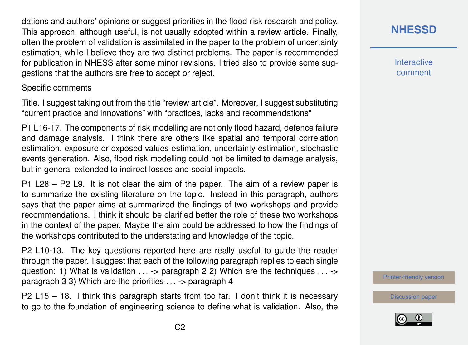dations and authors' opinions or suggest priorities in the flood risk research and policy. This approach, although useful, is not usually adopted within a review article. Finally, often the problem of validation is assimilated in the paper to the problem of uncertainty estimation, while I believe they are two distinct problems. The paper is recommended for publication in NHESS after some minor revisions. I tried also to provide some suggestions that the authors are free to accept or reject.

#### Specific comments

Title. I suggest taking out from the title "review article". Moreover, I suggest substituting "current practice and innovations" with "practices, lacks and recommendations"

P1 L16-17. The components of risk modelling are not only flood hazard, defence failure and damage analysis. I think there are others like spatial and temporal correlation estimation, exposure or exposed values estimation, uncertainty estimation, stochastic events generation. Also, flood risk modelling could not be limited to damage analysis, but in general extended to indirect losses and social impacts.

P1 L28 – P2 L9. It is not clear the aim of the paper. The aim of a review paper is to summarize the existing literature on the topic. Instead in this paragraph, authors says that the paper aims at summarized the findings of two workshops and provide recommendations. I think it should be clarified better the role of these two workshops in the context of the paper. Maybe the aim could be addressed to how the findings of the workshops contributed to the understating and knowledge of the topic.

P2 L10-13. The key questions reported here are really useful to guide the reader through the paper. I suggest that each of the following paragraph replies to each single question: 1) What is validation  $\dots$  -> paragraph 2 2) Which are the techniques  $\dots$  -> paragraph 3 3) Which are the priorities . . . -> paragraph 4

P2 L15 – 18. I think this paragraph starts from too far. I don't think it is necessary to go to the foundation of engineering science to define what is validation. Also, the

## **[NHESSD](https://www.nat-hazards-earth-syst-sci-discuss.net/)**

**Interactive** comment

[Printer-friendly version](https://www.nat-hazards-earth-syst-sci-discuss.net/nhess-2017-303/nhess-2017-303-RC1-print.pdf)

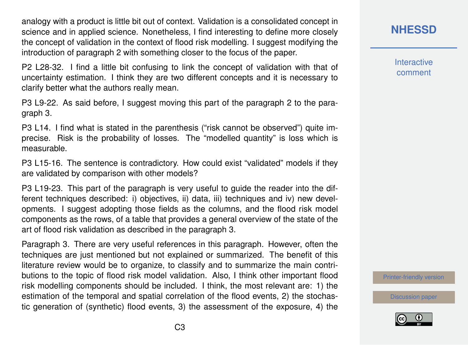analogy with a product is little bit out of context. Validation is a consolidated concept in science and in applied science. Nonetheless, I find interesting to define more closely the concept of validation in the context of flood risk modelling. I suggest modifying the introduction of paragraph 2 with something closer to the focus of the paper.

P2 L28-32. I find a little bit confusing to link the concept of validation with that of uncertainty estimation. I think they are two different concepts and it is necessary to clarify better what the authors really mean.

P3 L9-22. As said before, I suggest moving this part of the paragraph 2 to the paragraph 3.

P3 L14. I find what is stated in the parenthesis ("risk cannot be observed") quite imprecise. Risk is the probability of losses. The "modelled quantity" is loss which is measurable.

P3 L15-16. The sentence is contradictory. How could exist "validated" models if thev are validated by comparison with other models?

P3 L19-23. This part of the paragraph is very useful to guide the reader into the different techniques described: i) objectives, ii) data, iii) techniques and iv) new developments. I suggest adopting those fields as the columns, and the flood risk model components as the rows, of a table that provides a general overview of the state of the art of flood risk validation as described in the paragraph 3.

Paragraph 3. There are very useful references in this paragraph. However, often the techniques are just mentioned but not explained or summarized. The benefit of this literature review would be to organize, to classify and to summarize the main contributions to the topic of flood risk model validation. Also, I think other important flood risk modelling components should be included. I think, the most relevant are: 1) the estimation of the temporal and spatial correlation of the flood events, 2) the stochastic generation of (synthetic) flood events, 3) the assessment of the exposure, 4) the **[NHESSD](https://www.nat-hazards-earth-syst-sci-discuss.net/)**

**Interactive** comment

[Printer-friendly version](https://www.nat-hazards-earth-syst-sci-discuss.net/nhess-2017-303/nhess-2017-303-RC1-print.pdf)